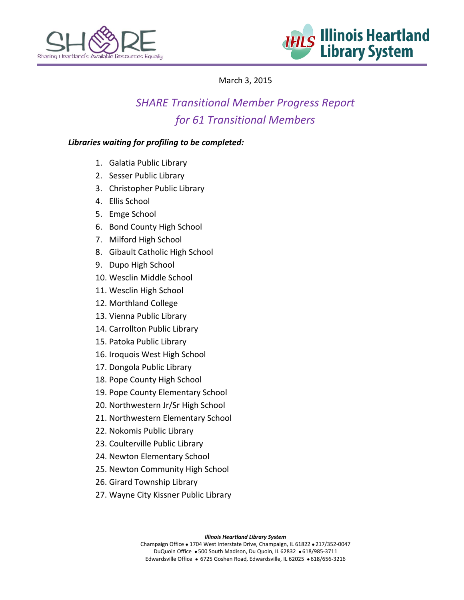



# March 3, 2015

# *SHARE Transitional Member Progress Report for 61 Transitional Members*

## *Libraries waiting for profiling to be completed:*

- 1. Galatia Public Library
- 2. Sesser Public Library
- 3. Christopher Public Library
- 4. Ellis School
- 5. Emge School
- 6. Bond County High School
- 7. Milford High School
- 8. Gibault Catholic High School
- 9. Dupo High School
- 10. Wesclin Middle School
- 11. Wesclin High School
- 12. Morthland College
- 13. Vienna Public Library
- 14. Carrollton Public Library
- 15. Patoka Public Library
- 16. Iroquois West High School
- 17. Dongola Public Library
- 18. Pope County High School
- 19. Pope County Elementary School
- 20. Northwestern Jr/Sr High School
- 21. Northwestern Elementary School
- 22. Nokomis Public Library
- 23. Coulterville Public Library
- 24. Newton Elementary School
- 25. Newton Community High School
- 26. Girard Township Library
- 27. Wayne City Kissner Public Library

*Illinois Heartland Library System*